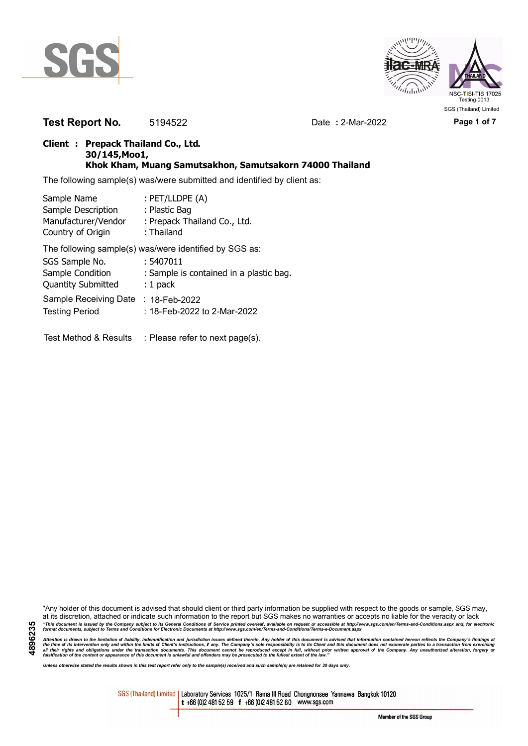



**Test Report No.** 5194522 Date **:** 2-Mar-2022 **Page 1 of 7**

### **Client : Prepack Thailand Co., Ltd. 30/145,Moo1, Khok Kham, Muang Samutsakhon, Samutsakorn 74000 Thailand**

The following sample(s) was/were submitted and identified by client as:

| Sample Name               | : PET/LLDPE (A)                                        |
|---------------------------|--------------------------------------------------------|
| Sample Description        | : Plastic Bag                                          |
| Manufacturer/Vendor       | : Prepack Thailand Co., Ltd.                           |
| Country of Origin         | : Thailand                                             |
|                           | The following sample(s) was/were identified by SGS as: |
| SGS Sample No.            | : 5407011                                              |
| Sample Condition          | : Sample is contained in a plastic bag.                |
| <b>Quantity Submitted</b> | $: 1$ pack                                             |
| Sample Receiving Date     | : 18-Feb-2022                                          |
| <b>Testing Period</b>     | : 18-Feb-2022 to 2-Mar-2022                            |
|                           |                                                        |

Test Method & Results : Please refer to next page(s).

"Any holder of this document is advised that should client or third party information be supplied with respect to the goods or sample, SGS may, at its discretion, attached or indicate such information to the report but SGS makes no warranties or accepts no liable for the veracity or lack "This document is issued by the Company subject to its General Conditions of Service printed overleaf, available on request or accessible at http://www.sgs.com/en/Terms-and-Conditions.aspx and, for electronic<br>format docume

Attention is drawn to the limitation of liability, indemnification and jurisdiction issues defined therein. Any holder of this document is advised that information contained hereon reflects the Company's findings at<br>all th

*Unless otherwise stated the results shown in this test report refer only to the sample(s) received and such sample(s) are retained for 30 days only.*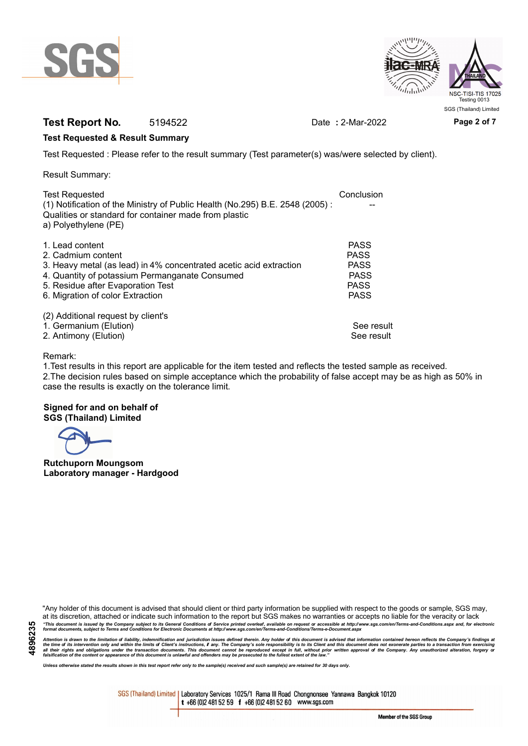



## **Test Report No.** 5194522 Date **:** 2-Mar-2022 **Page 2 of 7**

#### **Test Requested & Result Summary**

Test Requested : Please refer to the result summary (Test parameter(s) was/were selected by client).

Result Summary:

| <b>Test Requested</b>                                                                                                                 | Conclusion  |
|---------------------------------------------------------------------------------------------------------------------------------------|-------------|
| (1) Notification of the Ministry of Public Health (No.295) B.E. 2548 (2005):<br>Qualities or standard for container made from plastic |             |
| a) Polyethylene (PE)                                                                                                                  |             |
| 1. Lead content                                                                                                                       | <b>PASS</b> |
| 2. Cadmium content                                                                                                                    | <b>PASS</b> |
| 3. Heavy metal (as lead) in 4% concentrated acetic acid extraction                                                                    | <b>PASS</b> |
| 4. Quantity of potassium Permanganate Consumed                                                                                        | <b>PASS</b> |
| 5. Residue after Evaporation Test                                                                                                     | <b>PASS</b> |
| 6. Migration of color Extraction                                                                                                      | <b>PASS</b> |
| (2) Additional request by client's                                                                                                    |             |
| 1. Germanium (Elution)                                                                                                                | See result  |
| 2. Antimony (Elution)                                                                                                                 | See result  |

#### Remark:

1.Test results in this report are applicable for the item tested and reflects the tested sample as received. 2.The decision rules based on simple acceptance which the probability of false accept may be as high as 50% in case the results is exactly on the tolerance limit.

#### **Signed for and on behalf of SGS (Thailand) Limited**

**Rutchuporn Moungsom Laboratory manager - Hardgood**

"Any holder of this document is advised that should client or third party information be supplied with respect to the goods or sample, SGS may, at its discretion, attached or indicate such information to the report but SGS makes no warranties or accepts no liable for the veracity or lack "This document is issued by the Company subject to its General Conditions of Service printed overleaf, available on request or accessible at http://www.sgs.com/en/Terms-and-Conditions.aspx and, for electronic<br>format docume

Attention is drawn to the limitation of liability, indemnification and jurisdiction issues defined therein. Any holder of this document is advised that information contained hereon reflects the Company's findings at<br>all th

*Unless otherwise stated the results shown in this test report refer only to the sample(s) received and such sample(s) are retained for 30 days only.*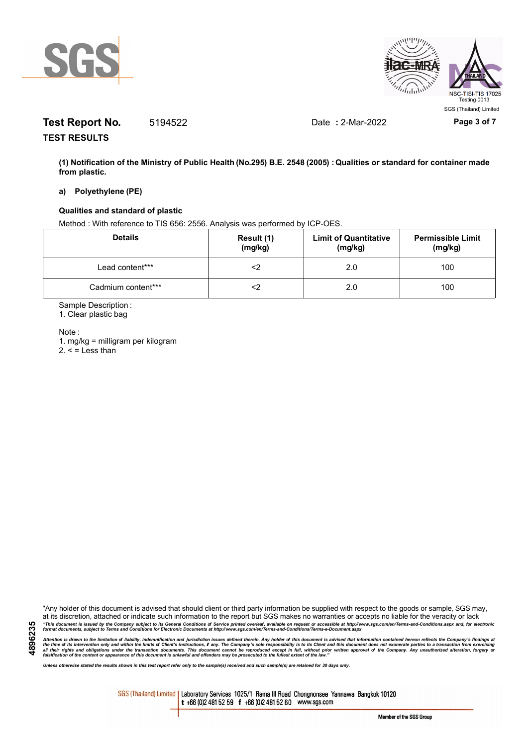



# **Test Report No.** 5194522 Date **:** 2-Mar-2022 **Page 3 of 7**

**TEST RESULTS**

**(1) Notification of the Ministry of Public Health (No.295) B.E. 2548 (2005) : Qualities or standard for container made from plastic.**

#### **a) Polyethylene (PE)**

#### **Qualities and standard of plastic**

Method : With reference to TIS 656: 2556. Analysis was performed by ICP-OES.

| <b>Details</b>     | Result (1)<br>(mg/kg) | <b>Limit of Quantitative</b><br>(mg/kg) | <b>Permissible Limit</b><br>(mg/kg) |
|--------------------|-----------------------|-----------------------------------------|-------------------------------------|
| Lead content***    |                       | 2.0                                     | 100                                 |
| Cadmium content*** |                       | 2.0                                     | 100                                 |

Sample Description :

1. Clear plastic bag

Note :

**4896235**

1. mg/kg = milligram per kilogram  $2. <$  = Less than

"Any holder of this document is advised that should client or third party information be supplied with respect to the goods or sample, SGS may, at its discretion, attached or indicate such information to the report but SGS makes no warranties or accepts no liable for the veracity or lack "This document is issued by the Company subject to its General Conditions of Service printed overleaf, available on request or accessible at http://www.sgs.com/en/Terms-and-Conditions.aspx and, for electronic<br>format docume

Attention is drawn to the limitation of liability, indemnification and jurisdiction issues defined therein. Any holder of this document is advised that information contained hereon reflects the Company's findings at<br>all th

*Unless otherwise stated the results shown in this test report refer only to the sample(s) received and such sample(s) are retained for 30 days only.*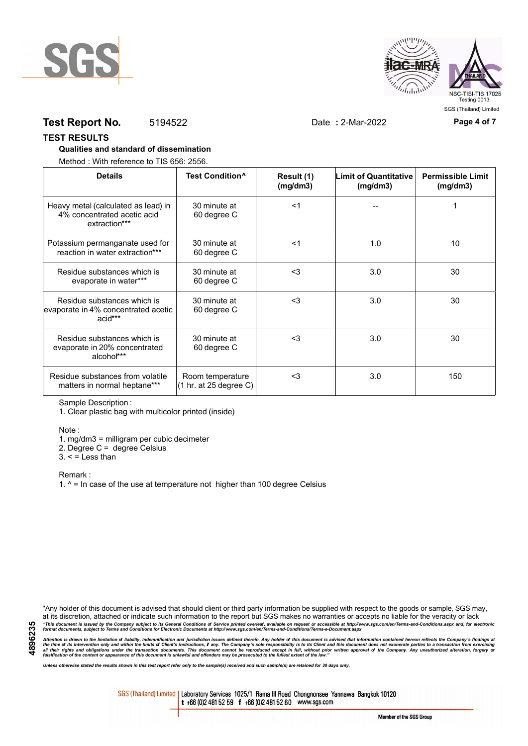



### **Test Report No.** 5194522 Date **:** 2-Mar-2022 **Page 4 of 7**

#### **TEST RESULTS**

#### **Qualities and standard of dissemination**

Method : With reference to TIS 656: 2556.

| <b>Details</b>                                                                      | Test Condition <sup>^</sup>                                   | Result (1)<br>(mg/dm3) | <b>Limit of Quantitative</b><br>(mg/dm3) | <b>Permissible Limit</b><br>(mg/dm3) |
|-------------------------------------------------------------------------------------|---------------------------------------------------------------|------------------------|------------------------------------------|--------------------------------------|
| Heavy metal (calculated as lead) in<br>4% concentrated acetic acid<br>extraction*** | 30 minute at<br>60 degree C                                   | $<$ 1                  |                                          |                                      |
| Potassium permanganate used for<br>reaction in water extraction***                  | 30 minute at<br>60 degree C                                   | $<$ 1                  | 1.0                                      | 10                                   |
| Residue substances which is<br>evaporate in water***                                | 30 minute at<br>60 degree C                                   | $3$                    | 3.0                                      | 30                                   |
| Residue substances which is<br>evaporate in 4% concentrated acetic<br>acid***       | 30 minute at<br>60 degree C                                   | $<$ 3                  | 3.0                                      | 30                                   |
| Residue substances which is<br>evaporate in 20% concentrated<br>alcohol***          | 30 minute at<br>60 degree C                                   | $3$                    | 3.0                                      | 30                                   |
| Residue substances from volatile<br>matters in normal heptane***                    | Room temperature<br>$(1 \text{ hr. at } 25 \text{ degree C})$ | $3$                    | 3.0                                      | 150                                  |

Sample Description :

1. Clear plastic bag with multicolor printed (inside)

Note :

1. mg/dm3 = milligram per cubic decimeter

2. Degree C = degree Celsius

 $3. <$  = Less than

Remark :

1.  $^{\circ}$  = In case of the use at temperature not higher than 100 degree Celsius

"Any holder of this document is advised that should client or third party information be supplied with respect to the goods or sample, SGS may, at its discretion, attached or indicate such information to the report but SGS makes no warranties or accepts no liable for the veracity or lack "This document is issued by the Company subject to its General Conditions of Service printed overleaf, available on request or accessible at http://www.sgs.com/en/Terms-and-Conditions.aspx and, for electronic<br>format docume

Attention is drawn to the limitation of liability, indemnification and jurisdiction issues defined therein. Any holder of this document is advised that information contained hereon reflects the Company's findings at<br>all th

*Unless otherwise stated the results shown in this test report refer only to the sample(s) received and such sample(s) are retained for 30 days only.*

SGS (Thailand) Limited | Laboratory Services 1025/1 Rama III Road Chongnonsee Yannawa Bangkok 10120 t +66 (0)2 481 52 59 f +66 (0)2 481 52 60 www.sgs.com

Member of the SGS Group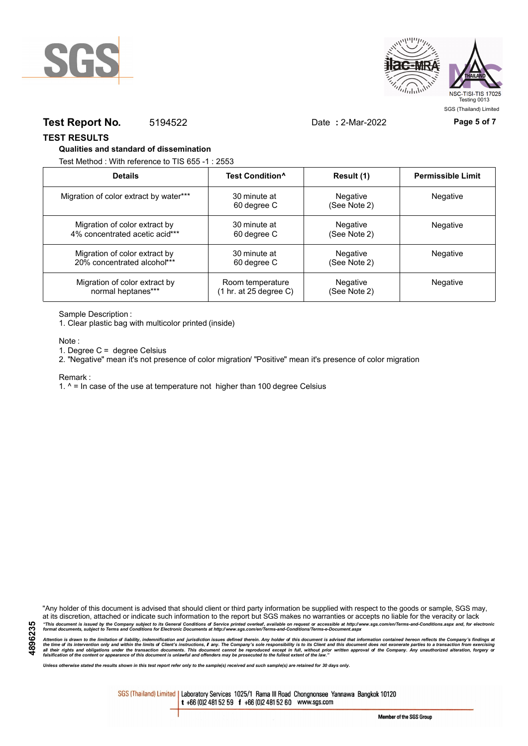



### **Test Report No.** 5194522 Date **:** 2-Mar-2022 **Page 5 of 7**

#### **TEST RESULTS**

#### **Qualities and standard of dissemination**

Test Method : With reference to TIS 655 -1 : 2553

| <b>Details</b>                         | Test Condition <sup>^</sup> | Result (1)               | <b>Permissible Limit</b> |
|----------------------------------------|-----------------------------|--------------------------|--------------------------|
| Migration of color extract by water*** | 30 minute at<br>60 degree C | Negative<br>(See Note 2) | Negative                 |
| Migration of color extract by          | 30 minute at                | Negative                 | Negative                 |
| 4% concentrated acetic acid***         | 60 degree C                 | (See Note 2)             |                          |
| Migration of color extract by          | 30 minute at                | Negative                 | Negative                 |
| 20% concentrated alcohol***            | 60 degree C                 | (See Note 2)             |                          |
| Migration of color extract by          | Room temperature            | Negative                 | Negative                 |
| normal heptanes***                     | (1 hr. at 25 degree C)      | (See Note 2)             |                          |

Sample Description :

1. Clear plastic bag with multicolor printed (inside)

Note :

1. Degree C = degree Celsius

2. "Negative" mean it's not presence of color migration/ "Positive" mean it's presence of color migration

#### Remark :

1.  $^{\circ}$  = In case of the use at temperature not higher than 100 degree Celsius

"Any holder of this document is advised that should client or third party information be supplied with respect to the goods or sample, SGS may, at its discretion, attached or indicate such information to the report but SGS makes no warranties or accepts no liable for the veracity or lack "This document is issued by the Company subject to its General Conditions of Service printed overleaf, available on request or accessible at http://www.sgs.com/en/Terms-and-Conditions.aspx and, for electronic<br>format docume

Attention is drawn to the limitation of liability, indemnification and jurisdiction issues defined therein. Any holder of this document is advised that information contained hereon reflects the Company's findings at<br>all th

*Unless otherwise stated the results shown in this test report refer only to the sample(s) received and such sample(s) are retained for 30 days only.*

SGS (Thailand) Limited | Laboratory Services 1025/1 Rama III Road Chongnonsee Yannawa Bangkok 10120 t +66 (0)2 481 52 59 f +66 (0)2 481 52 60 www.sgs.com

Member of the SGS Group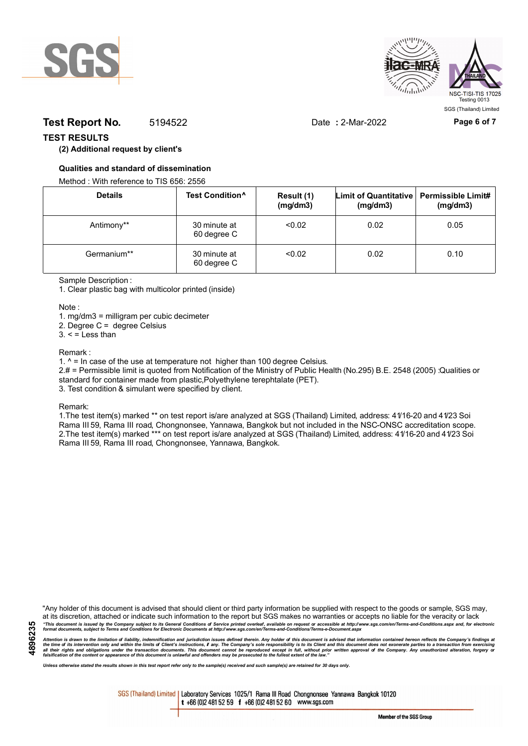



## **Test Report No.** 5194522 Date **:** 2-Mar-2022 **Page 6 of 7**

### **TEST RESULTS**

#### **(2) Additional request by client's**

#### **Qualities and standard of dissemination**

Method : With reference to TIS 656: 2556

| <b>Details</b> | Test Condition <sup>^</sup> | Result (1)<br>(mg/dm3) | Limit of Quantitative   Permissible Limit#<br>(mg/dm3) | (mg/dm3) |
|----------------|-----------------------------|------------------------|--------------------------------------------------------|----------|
| Antimony**     | 30 minute at<br>60 degree C | < 0.02                 | 0.02                                                   | 0.05     |
| Germanium**    | 30 minute at<br>60 degree C | < 0.02                 | 0.02                                                   | 0.10     |

Sample Description :

1. Clear plastic bag with multicolor printed (inside)

Note :

1. mg/dm3 = milligram per cubic decimeter

2. Degree C = degree Celsius

 $3. <$  = Less than

#### Remark :

1.  $^{\circ}$  = In case of the use at temperature not higher than 100 degree Celsius.

2.# = Permissible limit is quoted from Notification of the Ministry of Public Health (No.295) B.E. 2548 (2005) :Qualities or standard for container made from plastic,Polyethylene terephtalate (PET).

3. Test condition & simulant were specified by client.

Remark:

1.The test item(s) marked \*\* on test report is/are analyzed at SGS (Thailand) Limited, address: 41/16-20 and 41/23 Soi Rama III 59, Rama III road, Chongnonsee, Yannawa, Bangkok but not included in the NSC-ONSC accreditation scope. 2.The test item(s) marked \*\*\* on test report is/are analyzed at SGS (Thailand) Limited, address: 41/16-20 and 41/23 Soi Rama III 59, Rama III road, Chongnonsee, Yannawa, Bangkok.

**4896235**

"Any holder of this document is advised that should client or third party information be supplied with respect to the goods or sample, SGS may, at its discretion, attached or indicate such information to the report but SGS makes no warranties or accepts no liable for the veracity or lack "This document is issued by the Company subject to its General Conditions of Service printed overleaf, available on request or accessible at http://www.sgs.com/en/Terms-and-Conditions.aspx and, for electronic<br>format docume

Attention is drawn to the limitation of liability, indemnification and jurisdiction issues defined therein. Any holder of this document is advised that information contained hereon reflects the Company's findings at<br>all th

*Unless otherwise stated the results shown in this test report refer only to the sample(s) received and such sample(s) are retained for 30 days only.*